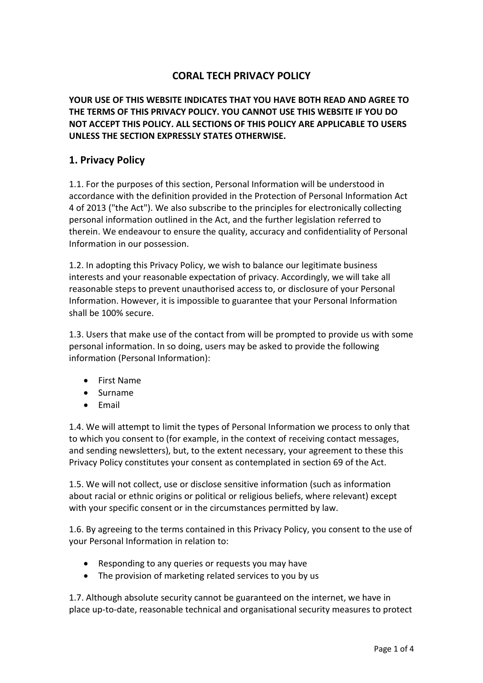## **CORAL TECH PRIVACY POLICY**

#### **YOUR USE OF THIS WEBSITE INDICATES THAT YOU HAVE BOTH READ AND AGREE TO THE TERMS OF THIS PRIVACY POLICY. YOU CANNOT USE THIS WEBSITE IF YOU DO NOT ACCEPT THIS POLICY. ALL SECTIONS OF THIS POLICY ARE APPLICABLE TO USERS UNLESS THE SECTION EXPRESSLY STATES OTHERWISE.**

### **1. Privacy Policy**

1.1. For the purposes of this section, Personal Information will be understood in accordance with the definition provided in the Protection of Personal Information Act 4 of 2013 ("the Act"). We also subscribe to the principles for electronically collecting personal information outlined in the Act, and the further legislation referred to therein. We endeavour to ensure the quality, accuracy and confidentiality of Personal Information in our possession.

1.2. In adopting this Privacy Policy, we wish to balance our legitimate business interests and your reasonable expectation of privacy. Accordingly, we will take all reasonable steps to prevent unauthorised access to, or disclosure of your Personal Information. However, it is impossible to guarantee that your Personal Information shall be 100% secure.

1.3. Users that make use of the contact from will be prompted to provide us with some personal information. In so doing, users may be asked to provide the following information (Personal Information):

- First Name
- Surname
- Email

1.4. We will attempt to limit the types of Personal Information we process to only that to which you consent to (for example, in the context of receiving contact messages, and sending newsletters), but, to the extent necessary, your agreement to these this Privacy Policy constitutes your consent as contemplated in section 69 of the Act.

1.5. We will not collect, use or disclose sensitive information (such as information about racial or ethnic origins or political or religious beliefs, where relevant) except with your specific consent or in the circumstances permitted by law.

1.6. By agreeing to the terms contained in this Privacy Policy, you consent to the use of your Personal Information in relation to:

- Responding to any queries or requests you may have
- The provision of marketing related services to you by us

1.7. Although absolute security cannot be guaranteed on the internet, we have in place up-to-date, reasonable technical and organisational security measures to protect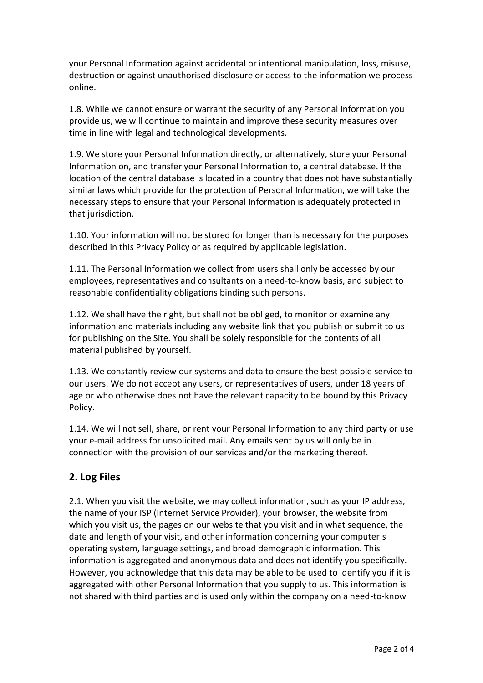your Personal Information against accidental or intentional manipulation, loss, misuse, destruction or against unauthorised disclosure or access to the information we process online.

1.8. While we cannot ensure or warrant the security of any Personal Information you provide us, we will continue to maintain and improve these security measures over time in line with legal and technological developments.

1.9. We store your Personal Information directly, or alternatively, store your Personal Information on, and transfer your Personal Information to, a central database. If the location of the central database is located in a country that does not have substantially similar laws which provide for the protection of Personal Information, we will take the necessary steps to ensure that your Personal Information is adequately protected in that jurisdiction.

1.10. Your information will not be stored for longer than is necessary for the purposes described in this Privacy Policy or as required by applicable legislation.

1.11. The Personal Information we collect from users shall only be accessed by our employees, representatives and consultants on a need-to-know basis, and subject to reasonable confidentiality obligations binding such persons.

1.12. We shall have the right, but shall not be obliged, to monitor or examine any information and materials including any website link that you publish or submit to us for publishing on the Site. You shall be solely responsible for the contents of all material published by yourself.

1.13. We constantly review our systems and data to ensure the best possible service to our users. We do not accept any users, or representatives of users, under 18 years of age or who otherwise does not have the relevant capacity to be bound by this Privacy Policy.

1.14. We will not sell, share, or rent your Personal Information to any third party or use your e-mail address for unsolicited mail. Any emails sent by us will only be in connection with the provision of our services and/or the marketing thereof.

# **2. Log Files**

2.1. When you visit the website, we may collect information, such as your IP address, the name of your ISP (Internet Service Provider), your browser, the website from which you visit us, the pages on our website that you visit and in what sequence, the date and length of your visit, and other information concerning your computer's operating system, language settings, and broad demographic information. This information is aggregated and anonymous data and does not identify you specifically. However, you acknowledge that this data may be able to be used to identify you if it is aggregated with other Personal Information that you supply to us. This information is not shared with third parties and is used only within the company on a need-to-know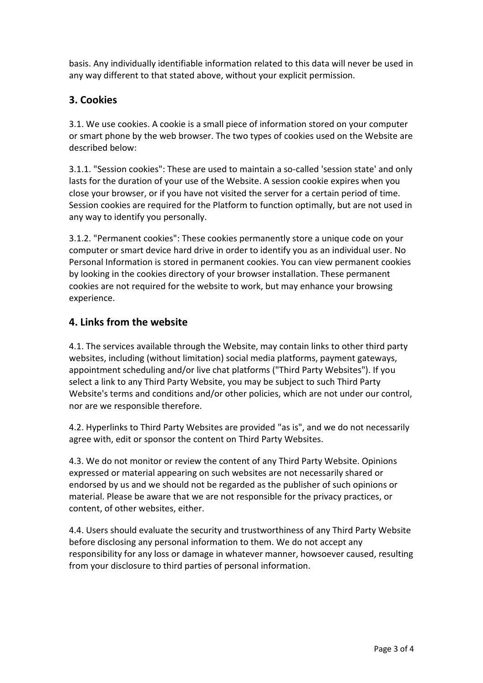basis. Any individually identifiable information related to this data will never be used in any way different to that stated above, without your explicit permission.

## **3. Cookies**

3.1. We use cookies. A cookie is a small piece of information stored on your computer or smart phone by the web browser. The two types of cookies used on the Website are described below:

3.1.1. "Session cookies": These are used to maintain a so-called 'session state' and only lasts for the duration of your use of the Website. A session cookie expires when you close your browser, or if you have not visited the server for a certain period of time. Session cookies are required for the Platform to function optimally, but are not used in any way to identify you personally.

3.1.2. "Permanent cookies": These cookies permanently store a unique code on your computer or smart device hard drive in order to identify you as an individual user. No Personal Information is stored in permanent cookies. You can view permanent cookies by looking in the cookies directory of your browser installation. These permanent cookies are not required for the website to work, but may enhance your browsing experience.

### **4. Links from the website**

4.1. The services available through the Website, may contain links to other third party websites, including (without limitation) social media platforms, payment gateways, appointment scheduling and/or live chat platforms ("Third Party Websites"). If you select a link to any Third Party Website, you may be subject to such Third Party Website's terms and conditions and/or other policies, which are not under our control, nor are we responsible therefore.

4.2. Hyperlinks to Third Party Websites are provided "as is", and we do not necessarily agree with, edit or sponsor the content on Third Party Websites.

4.3. We do not monitor or review the content of any Third Party Website. Opinions expressed or material appearing on such websites are not necessarily shared or endorsed by us and we should not be regarded as the publisher of such opinions or material. Please be aware that we are not responsible for the privacy practices, or content, of other websites, either.

4.4. Users should evaluate the security and trustworthiness of any Third Party Website before disclosing any personal information to them. We do not accept any responsibility for any loss or damage in whatever manner, howsoever caused, resulting from your disclosure to third parties of personal information.